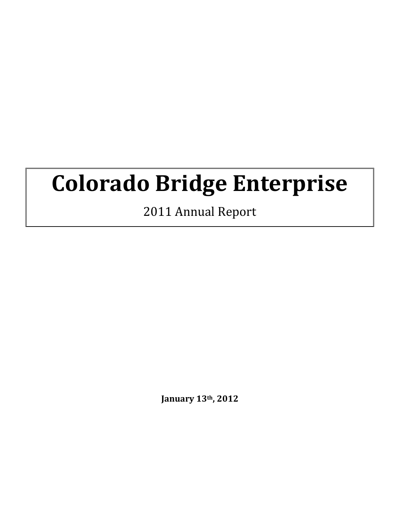# **Colorado Bridge Enterprise**

2011 Annual Report

**January 13th, 2012**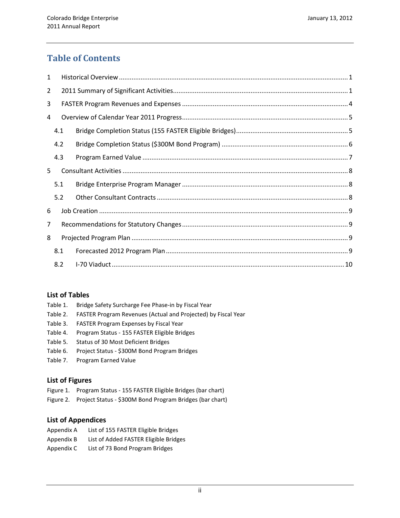### **Table of Contents**

| $\mathbf{1}$   |     |  |  |  |  |  |
|----------------|-----|--|--|--|--|--|
| $\overline{2}$ |     |  |  |  |  |  |
| 3              |     |  |  |  |  |  |
| 4              |     |  |  |  |  |  |
|                | 4.1 |  |  |  |  |  |
|                | 4.2 |  |  |  |  |  |
|                | 4.3 |  |  |  |  |  |
| 5              |     |  |  |  |  |  |
|                | 5.1 |  |  |  |  |  |
|                | 5.2 |  |  |  |  |  |
| 6              |     |  |  |  |  |  |
| 7              |     |  |  |  |  |  |
| 8              |     |  |  |  |  |  |
|                | 8.1 |  |  |  |  |  |
| 8.2            |     |  |  |  |  |  |

#### **List of Tables**

| Table 1. | Bridge Safety Surcharge Fee Phase-in by Fiscal Year |  |
|----------|-----------------------------------------------------|--|
|          |                                                     |  |

- Table 2. FASTER Program Revenues (Actual and Projected) by Fiscal Year
- Table 3. FASTER Program Expenses by Fiscal Year
- Table 4. Program Status 155 FASTER Eligible Bridges
- Table 5. Status of 30 Most Deficient Bridges
- Table 6. Project Status \$300M Bond Program Bridges
- Table 7. Program Earned Value

#### **List of Figures**

- Figure 1. Program Status 155 FASTER Eligible Bridges (bar chart)
- Figure 2. Project Status \$300M Bond Program Bridges (bar chart)

#### **List of Appendices**

| Appendix A | List of 155 FASTER Eligible Bridges   |
|------------|---------------------------------------|
| Appendix B | List of Added FASTER Eligible Bridges |

Appendix C List of 73 Bond Program Bridges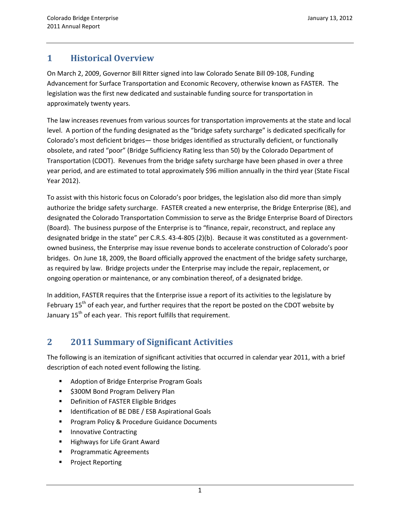### <span id="page-2-0"></span>**1 Historical Overview**

On March 2, 2009, Governor Bill Ritter signed into law Colorado Senate Bill 09-108, Funding Advancement for Surface Transportation and Economic Recovery, otherwise known as FASTER. The legislation was the first new dedicated and sustainable funding source for transportation in approximately twenty years.

The law increases revenues from various sources for transportation improvements at the state and local level. A portion of the funding designated as the "bridge safety surcharge" is dedicated specifically for Colorado's most deficient bridges— those bridges identified as structurally deficient, or functionally obsolete, and rated "poor" (Bridge Sufficiency Rating less than 50) by the Colorado Department of Transportation (CDOT). Revenues from the bridge safety surcharge have been phased in over a three year period, and are estimated to total approximately \$96 million annually in the third year (State Fiscal Year 2012).

To assist with this historic focus on Colorado's poor bridges, the legislation also did more than simply authorize the bridge safety surcharge. FASTER created a new enterprise, the Bridge Enterprise (BE), and designated the Colorado Transportation Commission to serve as the Bridge Enterprise Board of Directors (Board). The business purpose of the Enterprise is to "finance, repair, reconstruct, and replace any designated bridge in the state" per C.R.S. 43-4-805 (2)(b). Because it was constituted as a governmentowned business, the Enterprise may issue revenue bonds to accelerate construction of Colorado's poor bridges. On June 18, 2009, the Board officially approved the enactment of the bridge safety surcharge, as required by law. Bridge projects under the Enterprise may include the repair, replacement, or ongoing operation or maintenance, or any combination thereof, of a designated bridge.

In addition, FASTER requires that the Enterprise issue a report of its activities to the legislature by February 15<sup>th</sup> of each year, and further requires that the report be posted on the CDOT website by January  $15<sup>th</sup>$  of each year. This report fulfills that requirement.

## <span id="page-2-1"></span>**2 2011 Summary of Significant Activities**

The following is an itemization of significant activities that occurred in calendar year 2011, with a brief description of each noted event following the listing.

- **Adoption of Bridge Enterprise Program Goals**
- **5300M Bond Program Delivery Plan**
- **•** Definition of FASTER Eligible Bridges
- Identification of BE DBE / ESB Aspirational Goals
- **Program Policy & Procedure Guidance Documents**
- **Innovative Contracting**
- **Highways for Life Grant Award**
- Programmatic Agreements
- Project Reporting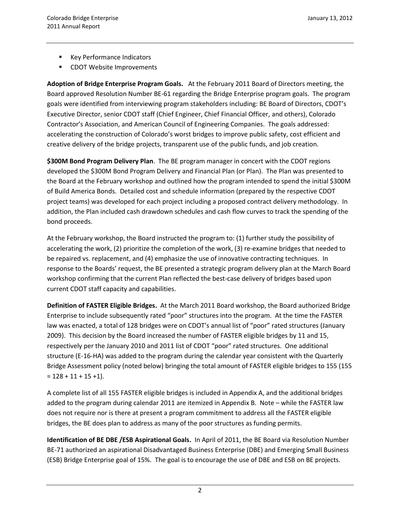- **Key Performance Indicators**
- **CDOT Website Improvements**

**Adoption of Bridge Enterprise Program Goals.** At the February 2011 Board of Directors meeting, the Board approved Resolution Number BE-61 regarding the Bridge Enterprise program goals. The program goals were identified from interviewing program stakeholders including: BE Board of Directors, CDOT's Executive Director, senior CDOT staff (Chief Engineer, Chief Financial Officer, and others), Colorado Contractor's Association, and American Council of Engineering Companies. The goals addressed: accelerating the construction of Colorado's worst bridges to improve public safety, cost efficient and creative delivery of the bridge projects, transparent use of the public funds, and job creation.

**\$300M Bond Program Delivery Plan**. The BE program manager in concert with the CDOT regions developed the \$300M Bond Program Delivery and Financial Plan (or Plan). The Plan was presented to the Board at the February workshop and outlined how the program intended to spend the initial \$300M of Build America Bonds. Detailed cost and schedule information (prepared by the respective CDOT project teams) was developed for each project including a proposed contract delivery methodology. In addition, the Plan included cash drawdown schedules and cash flow curves to track the spending of the bond proceeds.

At the February workshop, the Board instructed the program to: (1) further study the possibility of accelerating the work, (2) prioritize the completion of the work, (3) re-examine bridges that needed to be repaired vs. replacement, and (4) emphasize the use of innovative contracting techniques. In response to the Boards' request, the BE presented a strategic program delivery plan at the March Board workshop confirming that the current Plan reflected the best-case delivery of bridges based upon current CDOT staff capacity and capabilities.

**Definition of FASTER Eligible Bridges.** At the March 2011 Board workshop, the Board authorized Bridge Enterprise to include subsequently rated "poor" structures into the program. At the time the FASTER law was enacted, a total of 128 bridges were on CDOT's annual list of "poor" rated structures (January 2009). This decision by the Board increased the number of FASTER eligible bridges by 11 and 15, respectively per the January 2010 and 2011 list of CDOT "poor" rated structures. One additional structure (E-16-HA) was added to the program during the calendar year consistent with the Quarterly Bridge Assessment policy (noted below) bringing the total amount of FASTER eligible bridges to 155 (155  $= 128 + 11 + 15 + 1$ .

A complete list of all 155 FASTER eligible bridges is included in Appendix A, and the additional bridges added to the program during calendar 2011 are itemized in Appendix B. Note – while the FASTER law does not require nor is there at present a program commitment to address all the FASTER eligible bridges, the BE does plan to address as many of the poor structures as funding permits.

**Identification of BE DBE /ESB Aspirational Goals.** In April of 2011, the BE Board via Resolution Number BE-71 authorized an aspirational Disadvantaged Business Enterprise (DBE) and Emerging Small Business (ESB) Bridge Enterprise goal of 15%. The goal is to encourage the use of DBE and ESB on BE projects.

2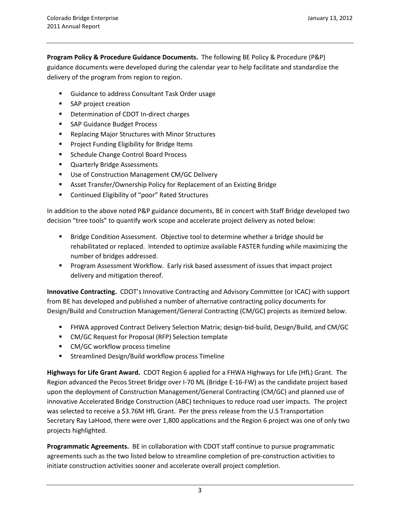**Program Policy & Procedure Guidance Documents.** The following BE Policy & Procedure (P&P) guidance documents were developed during the calendar year to help facilitate and standardize the delivery of the program from region to region.

- **Guidance to address Consultant Task Order usage**
- **SAP** project creation
- **•** Determination of CDOT In-direct charges
- SAP Guidance Budget Process
- Replacing Major Structures with Minor Structures
- **Project Funding Eligibility for Bridge Items**
- **Schedule Change Control Board Process**
- **Quarterly Bridge Assessments**
- Use of Construction Management CM/GC Delivery
- Asset Transfer/Ownership Policy for Replacement of an Existing Bridge
- **EXECONTER ELIGIBILITY OF "poor" Rated Structures**

In addition to the above noted P&P guidance documents, BE in concert with Staff Bridge developed two decision "tree tools" to quantify work scope and accelerate project delivery as noted below:

- **Bridge Condition Assessment. Objective tool to determine whether a bridge should be** rehabilitated or replaced. Intended to optimize available FASTER funding while maximizing the number of bridges addressed.
- **Program Assessment Workflow. Early risk based assessment of issues that impact project** delivery and mitigation thereof.

**Innovative Contracting.** CDOT's Innovative Contracting and Advisory Committee (or ICAC) with support from BE has developed and published a number of alternative contracting policy documents for Design/Build and Construction Management/General Contracting (CM/GC) projects as itemized below.

- FHWA approved Contract Delivery Selection Matrix; design-bid-build, Design/Build, and CM/GC
- CM/GC Request for Proposal (RFP) Selection template
- CM/GC workflow process timeline
- **EXECTE:** Streamlined Design/Build workflow process Timeline

**Highways for Life Grant Award.** CDOT Region 6 applied for a FHWA Highways for Life (HfL) Grant. The Region advanced the Pecos Street Bridge over I-70 ML (Bridge E-16-FW) as the candidate project based upon the deployment of Construction Management/General Contracting (CM/GC) and planned use of innovative Accelerated Bridge Construction (ABC) techniques to reduce road user impacts. The project was selected to receive a \$3.76M HfL Grant. Per the press release from the U.S Transportation Secretary Ray LaHood, there were over 1,800 applications and the Region 6 project was one of only two projects highlighted.

**Programmatic Agreements.** BE in collaboration with CDOT staff continue to pursue programmatic agreements such as the two listed below to streamline completion of pre-construction activities to initiate construction activities sooner and accelerate overall project completion.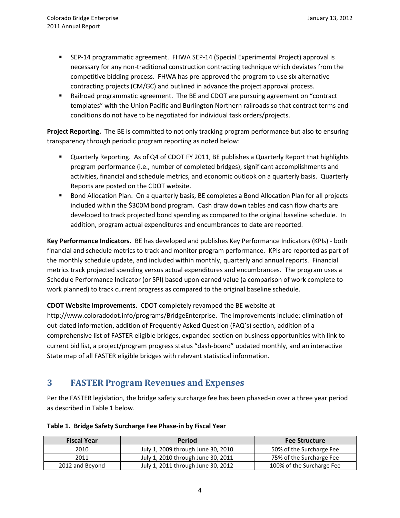- SEP-14 programmatic agreement. FHWA SEP-14 (Special Experimental Project) approval is necessary for any non-traditional construction contracting technique which deviates from the competitive bidding process. FHWA has pre-approved the program to use six alternative contracting projects (CM/GC) and outlined in advance the project approval process.
- **EXAM** Railroad programmatic agreement. The BE and CDOT are pursuing agreement on "contract templates" with the Union Pacific and Burlington Northern railroads so that contract terms and conditions do not have to be negotiated for individual task orders/projects.

**Project Reporting.** The BE is committed to not only tracking program performance but also to ensuring transparency through periodic program reporting as noted below:

- **URED ASSED** Reporting. As of Q4 of CDOT FY 2011, BE publishes a Quarterly Report that highlights program performance (i.e., number of completed bridges), significant accomplishments and activities, financial and schedule metrics, and economic outlook on a quarterly basis. Quarterly Reports are posted on the CDOT website.
- **Bond Allocation Plan. On a quarterly basis, BE completes a Bond Allocation Plan for all projects** included within the \$300M bond program. Cash draw down tables and cash flow charts are developed to track projected bond spending as compared to the original baseline schedule. In addition, program actual expenditures and encumbrances to date are reported.

**Key Performance Indicators.** BE has developed and publishes Key Performance Indicators (KPIs) - both financial and schedule metrics to track and monitor program performance. KPIs are reported as part of the monthly schedule update, and included within monthly, quarterly and annual reports. Financial metrics track projected spending versus actual expenditures and encumbrances. The program uses a Schedule Performance Indicator (or SPI) based upon earned value (a comparison of work complete to work planned) to track current progress as compared to the original baseline schedule.

#### **CDOT Website Improvements.** CDOT completely revamped the BE website at

[http://www.coloradodot.info/programs/BridgeEnterprise.](http://www.coloradodot.info/programs/BridgeEnterprise) The improvements include: elimination of out-dated information, addition of Frequently Asked Question (FAQ's) section, addition of a comprehensive list of FASTER eligible bridges, expanded section on business opportunities with link to current bid list, a project/program progress status "dash-board" updated monthly, and an interactive State map of all FASTER eligible bridges with relevant statistical information.

#### <span id="page-5-0"></span>**3 FASTER Program Revenues and Expenses**

Per the FASTER legislation, the bridge safety surcharge fee has been phased-in over a three year period as described in Table 1 below.

| <b>Fiscal Year</b> | <b>Period</b>                      | <b>Fee Structure</b>      |
|--------------------|------------------------------------|---------------------------|
| 2010               | July 1, 2009 through June 30, 2010 | 50% of the Surcharge Fee  |
| 2011               | July 1, 2010 through June 30, 2011 | 75% of the Surcharge Fee  |
| 2012 and Beyond    | July 1, 2011 through June 30, 2012 | 100% of the Surcharge Fee |

#### **Table 1. Bridge Safety Surcharge Fee Phase-in by Fiscal Year**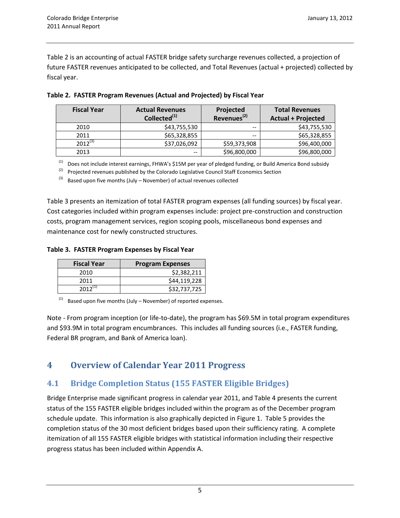Table 2 is an accounting of actual FASTER bridge safety surcharge revenues collected, a projection of future FASTER revenues anticipated to be collected, and Total Revenues (actual + projected) collected by fiscal year.

| <b>Fiscal Year</b> | <b>Actual Revenues</b><br>Collected <sup>(1)</sup> | Projected<br>Revenues <sup>(2)</sup> | <b>Total Revenues</b><br><b>Actual + Projected</b> |
|--------------------|----------------------------------------------------|--------------------------------------|----------------------------------------------------|
| 2010               | \$43,755,530                                       | $-$                                  | \$43,755,530                                       |
| 2011               | \$65,328,855                                       |                                      | \$65,328,855                                       |
| $2012^{(3)}$       | \$37,026,092                                       | \$59,373,908                         | \$96,400,000                                       |
| 2013               | --                                                 | \$96,800,000                         | \$96,800,000                                       |

|  | Table 2. FASTER Program Revenues (Actual and Projected) by Fiscal Year |  |  |  |
|--|------------------------------------------------------------------------|--|--|--|
|  |                                                                        |  |  |  |

 $(1)$  Does not include interest earnings, FHWA's \$15M per year of pledged funding, or Build America Bond subsidy

 $(2)$  Projected revenues published by the Colorado Legislative Council Staff Economics Section

 $^{(3)}$  Based upon five months (July – November) of actual revenues collected

Table 3 presents an itemization of total FASTER program expenses (all funding sources) by fiscal year. Cost categories included within program expenses include: project pre-construction and construction costs, program management services, region scoping pools, miscellaneous bond expenses and maintenance cost for newly constructed structures.

#### **Table 3. FASTER Program Expenses by Fiscal Year**

| <b>Fiscal Year</b>  | <b>Program Expenses</b> |
|---------------------|-------------------------|
| 2010                | \$2,382,211             |
| 2011                | \$44,119,228            |
| 2012 <sup>(1)</sup> | \$32,737,725            |

Based upon five months (July – November) of reported expenses.

Note - From program inception (or life-to-date), the program has \$69.5M in total program expenditures and \$93.9M in total program encumbrances. This includes all funding sources (i.e., FASTER funding, Federal BR program, and Bank of America loan).

### <span id="page-6-0"></span>**4 Overview of Calendar Year 2011 Progress**

### <span id="page-6-1"></span>**4.1 Bridge Completion Status (155 FASTER Eligible Bridges)**

Bridge Enterprise made significant progress in calendar year 2011, and Table 4 presents the current status of the 155 FASTER eligible bridges included within the program as of the December program schedule update. This information is also graphically depicted in Figure 1. Table 5 provides the completion status of the 30 most deficient bridges based upon their sufficiency rating. A complete itemization of all 155 FASTER eligible bridges with statistical information including their respective progress status has been included within Appendix A.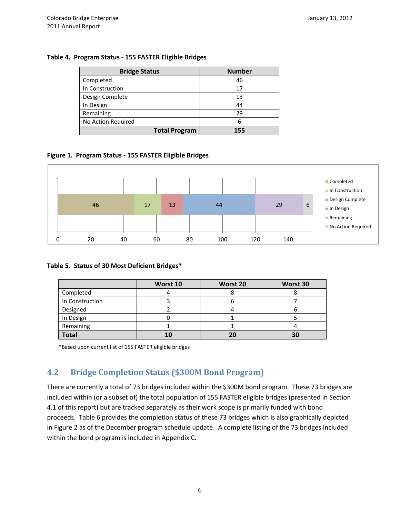#### **Table 4. Program Status - 155 FASTER Eligible Bridges**

| <b>Bridge Status</b> | <b>Number</b> |
|----------------------|---------------|
| Completed            | 46            |
| In Construction      | 17            |
| Design Complete      | 13            |
| In Design            | 44            |
| Remaining            | 29            |
| No Action Required   | 6             |
| <b>Total Program</b> | 155           |

#### **Figure 1. Program Status - 155 FASTER Eligible Bridges**



#### **Table 5. Status of 30 Most Deficient Bridges\***

|                 | Worst 10 | Worst 20 | Worst 30 |
|-----------------|----------|----------|----------|
| Completed       |          |          |          |
| In Construction |          |          |          |
| Designed        |          |          | υ        |
| In Design       |          |          |          |
| Remaining       |          |          |          |
| <b>Total</b>    |          | 20       | 30       |

\*Based upon current list of 155 FASTER eligible bridges

### <span id="page-7-0"></span>**4.2 Bridge Completion Status (\$300M Bond Program)**

There are currently a total of 73 bridges included within the \$300M bond program. These 73 bridges are included within (or a subset of) the total population of 155 FASTER eligible bridges (presented in Section 4.1 of this report) but are tracked separately as their work scope is primarily funded with bond proceeds. Table 6 provides the completion status of these 73 bridges which is also graphically depicted in Figure 2 as of the December program schedule update. A complete listing of the 73 bridges included within the bond program is included in Appendix C.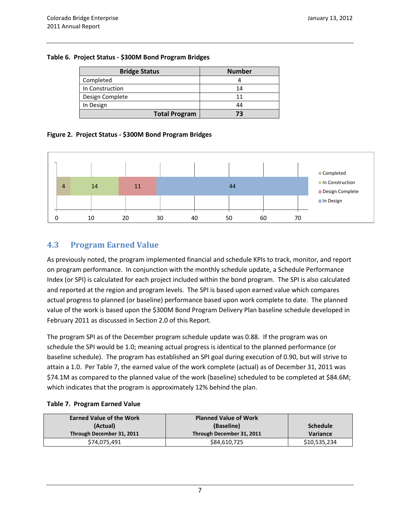#### **Table 6. Project Status - \$300M Bond Program Bridges**

| <b>Bridge Status</b> | <b>Number</b> |
|----------------------|---------------|
| Completed            |               |
| In Construction      | 14            |
| Design Complete      | 11            |
| In Design            | 44            |
| <b>Total Program</b> | 73            |

#### **Figure 2. Project Status - \$300M Bond Program Bridges**



#### <span id="page-8-0"></span>**4.3 Program Earned Value**

As previously noted, the program implemented financial and schedule KPIs to track, monitor, and report on program performance. In conjunction with the monthly schedule update, a Schedule Performance Index (or SPI) is calculated for each project included within the bond program. The SPI is also calculated and reported at the region and program levels. The SPI is based upon earned value which compares actual progress to planned (or baseline) performance based upon work complete to date. The planned value of the work is based upon the \$300M Bond Program Delivery Plan baseline schedule developed in February 2011 as discussed in Section 2.0 of this Report.

The program SPI as of the December program schedule update was 0.88. If the program was on schedule the SPI would be 1.0; meaning actual progress is identical to the planned performance (or baseline schedule). The program has established an SPI goal during execution of 0.90, but will strive to attain a 1.0. Per Table 7, the earned value of the work complete (actual) as of December 31, 2011 was \$74.1M as compared to the planned value of the work (baseline) scheduled to be completed at \$84.6M; which indicates that the program is approximately 12% behind the plan.

#### **Table 7. Program Earned Value**

| <b>Earned Value of the Work</b> | <b>Planned Value of Work</b> |                 |
|---------------------------------|------------------------------|-----------------|
| (Actual)                        | (Baseline)                   | <b>Schedule</b> |
| Through December 31, 2011       | Through December 31, 2011    | <b>Variance</b> |
| \$74,075,491                    | \$84,610,725                 | \$10,535,234    |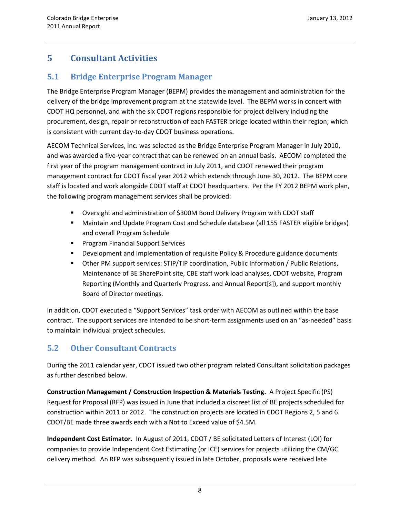## <span id="page-9-0"></span>**5 Consultant Activities**

### <span id="page-9-1"></span>**5.1 Bridge Enterprise Program Manager**

The Bridge Enterprise Program Manager (BEPM) provides the management and administration for the delivery of the bridge improvement program at the statewide level. The BEPM works in concert with CDOT HQ personnel, and with the six CDOT regions responsible for project delivery including the procurement, design, repair or reconstruction of each FASTER bridge located within their region; which is consistent with current day-to-day CDOT business operations.

AECOM Technical Services, Inc. was selected as the Bridge Enterprise Program Manager in July 2010, and was awarded a five-year contract that can be renewed on an annual basis. AECOM completed the first year of the program management contract in July 2011, and CDOT renewed their program management contract for CDOT fiscal year 2012 which extends through June 30, 2012. The BEPM core staff is located and work alongside CDOT staff at CDOT headquarters. Per the FY 2012 BEPM work plan, the following program management services shall be provided:

- Oversight and administration of \$300M Bond Delivery Program with CDOT staff
- Maintain and Update Program Cost and Schedule database (all 155 FASTER eligible bridges) and overall Program Schedule
- **Program Financial Support Services**
- **•** Development and Implementation of requisite Policy & Procedure guidance documents
- Other PM support services: STIP/TIP coordination, Public Information / Public Relations, Maintenance of BE SharePoint site, CBE staff work load analyses, CDOT website, Program Reporting (Monthly and Quarterly Progress, and Annual Report[s]), and support monthly Board of Director meetings.

In addition, CDOT executed a "Support Services" task order with AECOM as outlined within the base contract. The support services are intended to be short-term assignments used on an "as-needed" basis to maintain individual project schedules.

### <span id="page-9-2"></span>**5.2 Other Consultant Contracts**

During the 2011 calendar year, CDOT issued two other program related Consultant solicitation packages as further described below.

**Construction Management / Construction Inspection & Materials Testing.** A Project Specific (PS) Request for Proposal (RFP) was issued in June that included a discreet list of BE projects scheduled for construction within 2011 or 2012. The construction projects are located in CDOT Regions 2, 5 and 6. CDOT/BE made three awards each with a Not to Exceed value of \$4.5M.

**Independent Cost Estimator.** In August of 2011, CDOT / BE solicitated Letters of Interest (LOI) for companies to provide Independent Cost Estimating (or ICE) services for projects utilizing the CM/GC delivery method. An RFP was subsequently issued in late October, proposals were received late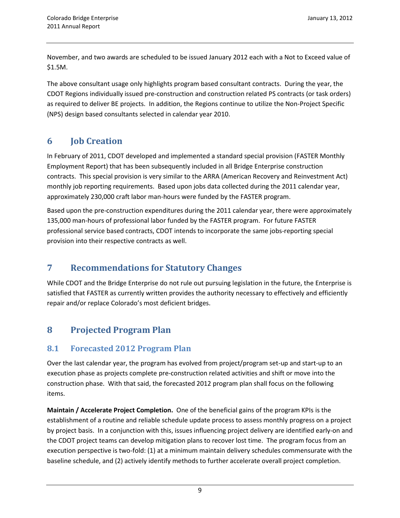November, and two awards are scheduled to be issued January 2012 each with a Not to Exceed value of \$1.5M.

The above consultant usage only highlights program based consultant contracts. During the year, the CDOT Regions individually issued pre-construction and construction related PS contracts (or task orders) as required to deliver BE projects. In addition, the Regions continue to utilize the Non-Project Specific (NPS) design based consultants selected in calendar year 2010.

## <span id="page-10-0"></span>**6 Job Creation**

In February of 2011, CDOT developed and implemented a standard special provision (FASTER Monthly Employment Report) that has been subsequently included in all Bridge Enterprise construction contracts. This special provision is very similar to the ARRA (American Recovery and Reinvestment Act) monthly job reporting requirements. Based upon jobs data collected during the 2011 calendar year, approximately 230,000 craft labor man-hours were funded by the FASTER program.

Based upon the pre-construction expenditures during the 2011 calendar year, there were approximately 135,000 man-hours of professional labor funded by the FASTER program. For future FASTER professional service based contracts, CDOT intends to incorporate the same jobs-reporting special provision into their respective contracts as well.

## <span id="page-10-1"></span>**7 Recommendations for Statutory Changes**

While CDOT and the Bridge Enterprise do not rule out pursuing legislation in the future, the Enterprise is satisfied that FASTER as currently written provides the authority necessary to effectively and efficiently repair and/or replace Colorado's most deficient bridges.

## <span id="page-10-2"></span>**8 Projected Program Plan**

### <span id="page-10-3"></span>**8.1 Forecasted 2012 Program Plan**

Over the last calendar year, the program has evolved from project/program set-up and start-up to an execution phase as projects complete pre-construction related activities and shift or move into the construction phase. With that said, the forecasted 2012 program plan shall focus on the following items.

**Maintain / Accelerate Project Completion.** One of the beneficial gains of the program KPIs is the establishment of a routine and reliable schedule update process to assess monthly progress on a project by project basis. In a conjunction with this, issues influencing project delivery are identified early-on and the CDOT project teams can develop mitigation plans to recover lost time. The program focus from an execution perspective is two-fold: (1) at a minimum maintain delivery schedules commensurate with the baseline schedule, and (2) actively identify methods to further accelerate overall project completion.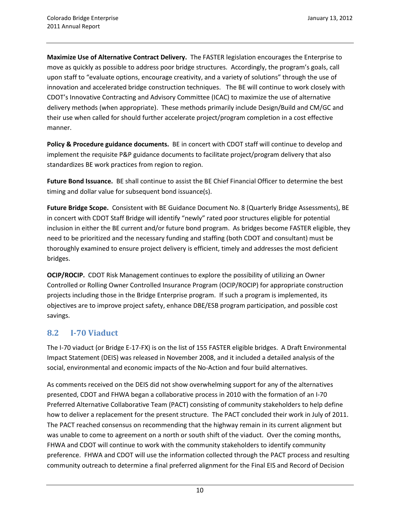**Maximize Use of Alternative Contract Delivery.** The FASTER legislation encourages the Enterprise to move as quickly as possible to address poor bridge structures. Accordingly, the program's goals, call upon staff to "evaluate options, encourage creativity, and a variety of solutions" through the use of innovation and accelerated bridge construction techniques. The BE will continue to work closely with CDOT's Innovative Contracting and Advisory Committee (ICAC) to maximize the use of alternative delivery methods (when appropriate). These methods primarily include Design/Build and CM/GC and their use when called for should further accelerate project/program completion in a cost effective manner.

**Policy & Procedure guidance documents.** BE in concert with CDOT staff will continue to develop and implement the requisite P&P guidance documents to facilitate project/program delivery that also standardizes BE work practices from region to region.

**Future Bond Issuance.** BE shall continue to assist the BE Chief Financial Officer to determine the best timing and dollar value for subsequent bond issuance(s).

**Future Bridge Scope.** Consistent with BE Guidance Document No. 8 (Quarterly Bridge Assessments), BE in concert with CDOT Staff Bridge will identify "newly" rated poor structures eligible for potential inclusion in either the BE current and/or future bond program. As bridges become FASTER eligible, they need to be prioritized and the necessary funding and staffing (both CDOT and consultant) must be thoroughly examined to ensure project delivery is efficient, timely and addresses the most deficient bridges.

**OCIP/ROCIP.** CDOT Risk Management continues to explore the possibility of utilizing an Owner Controlled or Rolling Owner Controlled Insurance Program (OCIP/ROCIP) for appropriate construction projects including those in the Bridge Enterprise program. If such a program is implemented, its objectives are to improve project safety, enhance DBE/ESB program participation, and possible cost savings.

### <span id="page-11-0"></span>**8.2 I-70 Viaduct**

The I-70 viaduct (or Bridge E-17-FX) is on the list of 155 FASTER eligible bridges. A Draft Environmental Impact Statement (DEIS) was released in November 2008, and it included a detailed analysis of the social, environmental and economic impacts of the No-Action and four build alternatives.

As comments received on the DEIS did not show overwhelming support for any of the alternatives presented, CDOT and FHWA began a collaborative process in 2010 with the formation of an I-70 Preferred Alternative Collaborative Team (PACT) consisting of community stakeholders to help define how to deliver a replacement for the present structure. The PACT concluded their work in July of 2011. The PACT reached consensus on recommending that the highway remain in its current alignment but was unable to come to agreement on a north or south shift of the viaduct. Over the coming months, FHWA and CDOT will continue to work with the community stakeholders to identify community preference. FHWA and CDOT will use the information collected through the PACT process and resulting community outreach to determine a final preferred alignment for the Final EIS and Record of Decision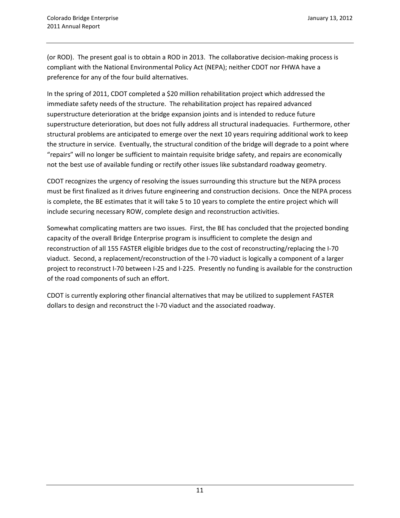(or ROD). The present goal is to obtain a ROD in 2013. The collaborative decision-making process is compliant with the National Environmental Policy Act (NEPA); neither CDOT nor FHWA have a preference for any of the four build alternatives.

In the spring of 2011, CDOT completed a \$20 million rehabilitation project which addressed the immediate safety needs of the structure. The rehabilitation project has repaired advanced superstructure deterioration at the bridge expansion joints and is intended to reduce future superstructure deterioration, but does not fully address all structural inadequacies. Furthermore, other structural problems are anticipated to emerge over the next 10 years requiring additional work to keep the structure in service. Eventually, the structural condition of the bridge will degrade to a point where "repairs" will no longer be sufficient to maintain requisite bridge safety, and repairs are economically not the best use of available funding or rectify other issues like substandard roadway geometry.

CDOT recognizes the urgency of resolving the issues surrounding this structure but the NEPA process must be first finalized as it drives future engineering and construction decisions. Once the NEPA process is complete, the BE estimates that it will take 5 to 10 years to complete the entire project which will include securing necessary ROW, complete design and reconstruction activities.

Somewhat complicating matters are two issues. First, the BE has concluded that the projected bonding capacity of the overall Bridge Enterprise program is insufficient to complete the design and reconstruction of all 155 FASTER eligible bridges due to the cost of reconstructing/replacing the I-70 viaduct. Second, a replacement/reconstruction of the I-70 viaduct is logically a component of a larger project to reconstruct I-70 between I-25 and I-225. Presently no funding is available for the construction of the road components of such an effort.

CDOT is currently exploring other financial alternatives that may be utilized to supplement FASTER dollars to design and reconstruct the I-70 viaduct and the associated roadway.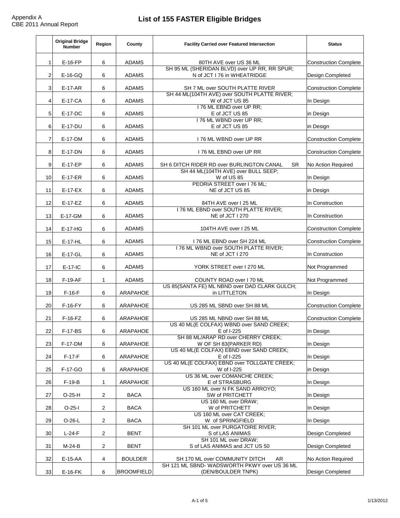|    | <b>Original Bridge</b><br><b>Number</b> | <b>Region</b>  | <b>County</b>     | <b>Facility Carried over Featured Intersection</b>                                                       | <b>Status</b>                |
|----|-----------------------------------------|----------------|-------------------|----------------------------------------------------------------------------------------------------------|------------------------------|
|    | $E-16-FP$                               | 6              | <b>ADAMS</b>      | 80TH AVE over US 36 ML<br>SH 95 ML (SHERIDAN BLVD) over UP RR, RR SPUR;                                  | <b>Construction Complete</b> |
|    | $E-16-GQ$                               | 6              | <b>ADAMS</b>      | N of JCT I 76 in WHEATRIDGE                                                                              | <b>Design Completed</b>      |
| 3  | $E-17-AR$                               | 6              | <b>ADAMS</b>      | <b>SH 7 ML over SOUTH PLATTE RIVER</b>                                                                   | <b>Construction Complete</b> |
| 4  | E-17-CA                                 | 6              | <b>ADAMS</b>      | SH 44 ML(104TH AVE) over SOUTH PLATTE RIVER;<br>W of JCT US 85                                           | In Design                    |
| 5  | E-17-DC                                 | 6              | <b>ADAMS</b>      | I 76 ML EBND over UP RR;<br>E of JCT US 85                                                               | in Design                    |
| 6  | E-17-DU                                 | 6              | <b>ADAMS</b>      | 176 ML WBND over UP RR;<br>E of JCT US 85                                                                | in Design                    |
|    | E-17-DM                                 | 6              | <b>ADAMS</b>      | 176 ML WBND over UP RR                                                                                   | <b>Construction Complete</b> |
| 8  | E-17-DN                                 | 6              | <b>ADAMS</b>      | 176 ML EBND over UP RR                                                                                   | <b>Construction Complete</b> |
| 9  | $E-17-EP$                               | 6              | <b>ADAMS</b>      | SH 6 DITCH RIDER RD over BURLINGTON CANAL<br><b>SR</b><br>SH 44 ML(104TH AVE) over BULL SEEP;            | <b>No Action Required</b>    |
| 10 | $E-17-ER$                               | 6              | <b>ADAMS</b>      | W of US 85<br>PEORIA STREET over I 76 ML;                                                                | In Design                    |
| 11 | $E-17-EX$                               | 6              | <b>ADAMS</b>      | NE of JCT US 85                                                                                          | in Design                    |
| 12 | $E-17-EZ$                               | 6              | <b>ADAMS</b>      | 84TH AVE over I 25 ML<br>176 ML EBND over SOUTH PLATTE RIVER;                                            | In Construction              |
| 13 | E-17-GM                                 | 6              | <b>ADAMS</b>      | NE of JCT I 270                                                                                          | In Construction              |
| 14 | $E-17-HG$                               | 6              | <b>ADAMS</b>      | 104TH AVE over I 25 ML                                                                                   | <b>Construction Complete</b> |
| 15 | $E-17-HL$                               | 6              | <b>ADAMS</b>      | 176 ML EBND over SH 224 ML                                                                               | <b>Construction Complete</b> |
| 16 | E-17-GL                                 | 6              | <b>ADAMS</b>      | 176 ML WBND over SOUTH PLATTE RIVER;<br>NE of JCT I 270                                                  | In Construction              |
| 17 | $E-17-IC$                               | 6              | <b>ADAMS</b>      | YORK STREET over I 270 ML                                                                                | Not Programmed               |
| 18 | $F-19-AF$                               |                | <b>ADAMS</b>      | <b>COUNTY ROAD over I 70 ML</b>                                                                          | Not Programmed               |
| 19 | $F-16-F$                                | 6              | <b>ARAPAHOE</b>   | US 85(SANTA FE) ML NBND over DAD CLARK GULCH;<br>in LITTLETON                                            | In Design                    |
| 20 | $F-16-FY$                               | 6              | ARAPAHOE          | US 285 ML SBND over SH 88 ML                                                                             | <b>Construction Complete</b> |
| 21 | $F-16-FZ$                               | 6              | ARAPAHOE          | US 285 ML NBND over SH 88 ML<br>US 40 ML(E COLFAX) WBND over SAND CREEK;                                 | <b>Construction Complete</b> |
| 22 | <b>F-17-BS</b>                          | 6              | <b>ARAPAHOE</b>   | E of I-225                                                                                               | In Design                    |
| 23 | <b>F-17-DM</b>                          | 6              | <b>ARAPAHOE</b>   | SH 88 ML/ARAP RD over CHERRY CREEK;<br>W OF SH 83(PARKER RD)<br>US 40 ML(E COLFAX) EBND over SAND CREEK; | In Design                    |
| 24 | $F-17-F$                                | 6              | <b>ARAPAHOE</b>   | E of I-225                                                                                               | In Design                    |
| 25 | F-17-GO                                 | 6              | <b>ARAPAHOE</b>   | US 40 ML(E COLFAX) EBND over TOLLGATE CREEK;<br>W of I-225                                               | in Design                    |
| 26 | $F-19-B$                                |                | <b>ARAPAHOE</b>   | US 36 ML over COMANCHE CREEK;<br>E of STRASBURG                                                          | In Design                    |
| 27 | $O-25-H$                                | $\overline{2}$ | <b>BACA</b>       | US 160 ML over N FK SAND ARROYO;<br><b>SW of PRITCHETT</b>                                               | In Design                    |
| 28 | $O-25-I$                                | $\overline{2}$ | <b>BACA</b>       | US 160 ML over DRAW;<br>W of PRITCHETT                                                                   | In Design                    |
| 29 | $O-26-L$                                | $\overline{2}$ | <b>BACA</b>       | US 160 ML over CAT CREEK;<br>W of SPRINGFIELD                                                            | In Design                    |
| 30 | $L-24-F$                                | $\overline{2}$ | <b>BENT</b>       | SH 101 ML over PURGATOIRE RIVER;<br>S of LAS ANIMAS                                                      | <b>Design Completed</b>      |
| 31 | $M-24-B$                                | $\overline{2}$ | <b>BENT</b>       | SH 101 ML over DRAW;<br>S of LAS ANIMAS and JCT US 50                                                    | <b>Design Completed</b>      |
| 32 | $E-15-AA$                               | 4              | <b>BOULDER</b>    | SH 170 ML over COMMUNITY DITCH<br>AR                                                                     | <b>No Action Required</b>    |
| 33 | $E-16-FK$                               | 6              | <b>BROOMFIELD</b> | SH 121 ML SBND- WADSWORTH PKWY over US 36 ML<br>(DEN/BOULDER TNPK)                                       | <b>Design Completed</b>      |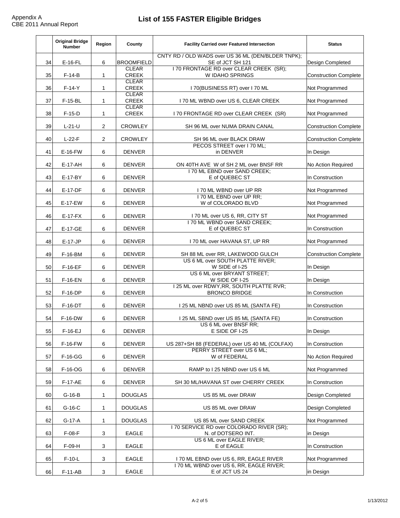|    | <b>Original Bridge</b><br><b>Number</b> | <b>Region</b> | <b>County</b>                | <b>Facility Carried over Featured Intersection</b>                                | <b>Status</b>                |
|----|-----------------------------------------|---------------|------------------------------|-----------------------------------------------------------------------------------|------------------------------|
| 34 | $E-16-FL$                               | 6             | <b>BROOMFIELD</b>            | CNTY RD / OLD WADS over US 36 ML (DEN/BLDER TNPK);<br>SE of JCT SH 121            | <b>Design Completed</b>      |
| 35 | $F-14-B$                                |               | <b>CLEAR</b><br><b>CREEK</b> | I 70 FRONTAGE RD over CLEAR CREEK (SR);<br><b>W IDAHO SPRINGS</b>                 | <b>Construction Complete</b> |
| 36 | $F-14-Y$                                | $\mathbf 1$   | <b>CLEAR</b><br><b>CREEK</b> | 170(BUSINESS RT) over 170 ML                                                      | Not Programmed               |
| 37 | $F-15-BL$                               |               | <b>CLEAR</b><br><b>CREEK</b> | I 70 ML WBND over US 6, CLEAR CREEK                                               | Not Programmed               |
| 38 | $F-15-D$                                |               | <b>CLEAR</b><br><b>CREEK</b> | 170 FRONTAGE RD over CLEAR CREEK (SR)                                             | Not Programmed               |
|    |                                         |               |                              |                                                                                   |                              |
| 39 | $L-21-U$                                | 2             | <b>CROWLEY</b>               | <b>SH 96 ML over NUMA DRAIN CANAL</b>                                             | <b>Construction Complete</b> |
| 40 | $L-22-F$                                | 2             | <b>CROWLEY</b>               | <b>SH 96 ML over BLACK DRAW</b><br>PECOS STREET over I 70 ML;                     | <b>Construction Complete</b> |
| 41 | $E-16-FW$                               | 6             | <b>DENVER</b>                | in DENVER                                                                         | In Design                    |
| 42 | $E-17-AH$                               | 6             | <b>DENVER</b>                | ON 40TH AVE W of SH 2 ML over BNSF RR                                             | No Action Required           |
| 43 | E-17-BY                                 | 6             | <b>DENVER</b>                | 170 ML EBND over SAND CREEK;<br>E of QUEBEC ST                                    | In Construction              |
| 44 | E-17-DF                                 | 6             | <b>DENVER</b>                | I 70 ML WBND over UP RR<br>170 ML EBND over UP RR;                                | Not Programmed               |
| 45 | $E-17-EW$                               | 6             | <b>DENVER</b>                | W of COLORADO BLVD                                                                | Not Programmed               |
| 46 | $E-17-FX$                               | 6             | <b>DENVER</b>                | 170 ML over US 6, RR, CITY ST                                                     | Not Programmed               |
| 47 | E-17-GE                                 | 6             | <b>DENVER</b>                | 170 ML WBND over SAND CREEK;<br>E of QUEBEC ST                                    | In Construction              |
| 48 | $E-17-JP$                               | 6             | <b>DENVER</b>                | I 70 ML over HAVANA ST, UP RR                                                     | Not Programmed               |
| 49 | <b>F-16-BM</b>                          | 6             | <b>DENVER</b>                | SH 88 ML over RR, LAKEWOOD GULCH                                                  | <b>Construction Complete</b> |
| 50 | $F-16-EF$                               | 6             | <b>DENVER</b>                | US 6 ML over SOUTH PLATTE RIVER;<br>W SIDE of I-25                                | In Design                    |
| 51 | <b>F-16-EN</b>                          | 6             | <b>DENVER</b>                | US 6 ML over BRYANT STREET;<br>W SIDE OF I-25                                     | In Design                    |
| 52 | $F-16-DP$                               | 6             | <b>DENVER</b>                | 125 ML over RDWY, RR, SOUTH PLATTE RVR;<br><b>BRONCO BRIDGE</b>                   | In Construction              |
| 53 | <b>F-16-DT</b>                          | 6             | <b>DENVER</b>                | 125 ML NBND over US 85 ML (SANTA FE)                                              | In Construction              |
| 54 | <b>F-16-DW</b>                          | 6             | <b>DENVER</b>                | 125 ML SBND over US 85 ML (SANTA FE)<br>US 6 ML over BNSF RR;                     | In Construction              |
| 55 | $F-16-EJ$                               | 6             | <b>DENVER</b>                | E SIDE OF I-25                                                                    | In Design                    |
| 56 | $F-16-FW$                               | 6             | <b>DENVER</b>                | US 287+SH 88 (FEDERAL) over US 40 ML (COLFAX)                                     | In Construction              |
| 57 | $F-16-GG$                               | 6             | <b>DENVER</b>                | PERRY STREET over US 6 ML;<br>W of FEDERAL                                        | <b>No Action Required</b>    |
| 58 | F-16-OG                                 | 6             | <b>DENVER</b>                | RAMP to I 25 NBND over US 6 ML                                                    | Not Programmed               |
| 59 | $F-17-AE$                               | 6             | <b>DENVER</b>                | SH 30 ML/HAVANA ST over CHERRY CREEK                                              | In Construction              |
| 60 | $G-16-B$                                | $\mathbf 1$   | <b>DOUGLAS</b>               | US 85 ML over DRAW                                                                | <b>Design Completed</b>      |
| 61 | $G-16-C$                                | $\mathbf 1$   | <b>DOUGLAS</b>               | US 85 ML over DRAW                                                                | <b>Design Completed</b>      |
| 62 | $G-17-A$                                | $\mathbf 1$   | <b>DOUGLAS</b>               | US 85 ML over SAND CREEK                                                          | Not Programmed               |
| 63 | $F-08-F$                                | 3             | <b>EAGLE</b>                 | I 70 SERVICE RD over COLORADO RIVER (SR);<br>N. of DOTSERO INT.                   | in Design                    |
| 64 | $F-09-H$                                | 3             | <b>EAGLE</b>                 | US 6 ML over EAGLE RIVER;<br>E of EAGLE                                           | In Construction              |
| 65 | $F-10-L$                                | 3             | <b>EAGLE</b>                 | 170 ML EBND over US 6, RR, EAGLE RIVER<br>170 ML WBND over US 6, RR, EAGLE RIVER; | Not Programmed               |
| 66 | $F-11-AB$                               | 3             | <b>EAGLE</b>                 | E of JCT US 24                                                                    | in Design                    |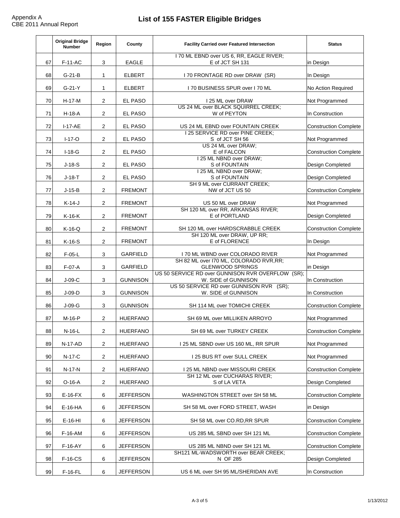|    | <b>Original Bridge</b><br><b>Number</b> | <b>Region</b>  | <b>County</b>    | <b>Facility Carried over Featured Intersection</b>                           | <b>Status</b>                |  |
|----|-----------------------------------------|----------------|------------------|------------------------------------------------------------------------------|------------------------------|--|
| 67 | $F-11-AC$                               | 3              | <b>EAGLE</b>     | 170 ML EBND over US 6, RR, EAGLE RIVER;<br>E of JCT SH 131                   | in Design                    |  |
| 68 | $G-21-B$                                |                | <b>ELBERT</b>    | 170 FRONTAGE RD over DRAW (SR)                                               | In Design                    |  |
| 69 | $G-21-Y$                                |                | <b>ELBERT</b>    | I 70 BUSINESS SPUR over I 70 ML                                              | <b>No Action Required</b>    |  |
| 70 | $H-17-M$                                | $\overline{2}$ | <b>EL PASO</b>   | 125 ML over DRAW                                                             | Not Programmed               |  |
| 71 | $H-18-A$                                | $\overline{2}$ | <b>EL PASO</b>   | US 24 ML over BLACK SQUIRREL CREEK;<br>W of PEYTON                           | In Construction              |  |
| 72 | $I-17-AE$                               | $\overline{2}$ | <b>EL PASO</b>   | US 24 ML EBND over FOUNTAIN CREEK<br>125 SERVICE RD over PINE CREEK;         | <b>Construction Complete</b> |  |
| 73 | $I-17-O$                                | $\overline{2}$ | <b>EL PASO</b>   | S of JCT SH 56                                                               | Not Programmed               |  |
| 74 | $I-18-G$                                | $\overline{2}$ | <b>EL PASO</b>   | US 24 ML over DRAW;<br>E of FALCON                                           | <b>Construction Complete</b> |  |
| 75 | $J-18-S$                                | $\overline{2}$ | <b>EL PASO</b>   | 25 ML NBND over DRAW;<br>S of FOUNTAIN<br>25 ML NBND over DRAW;              | <b>Design Completed</b>      |  |
| 76 | $J-18-T$                                | 2              | <b>EL PASO</b>   | S of FOUNTAIN                                                                | <b>Design Completed</b>      |  |
| 77 | $J-15-B$                                | $\overline{2}$ | <b>FREMONT</b>   | <b>SH 9 ML over CURRANT CREEK;</b><br>NW of JCT US 50                        | <b>Construction Complete</b> |  |
| 78 | $K-14-J$                                | $\overline{2}$ | <b>FREMONT</b>   | US 50 ML over DRAW                                                           | Not Programmed               |  |
| 79 | $K-16-K$                                | $\overline{2}$ | <b>FREMONT</b>   | SH 120 ML over RR, ARKANSAS RIVER;<br>E of PORTLAND                          | <b>Design Completed</b>      |  |
| 80 | $K-16-Q$                                | $\overline{2}$ | <b>FREMONT</b>   | <b>SH 120 ML over HARDSCRABBLE CREEK</b>                                     | <b>Construction Complete</b> |  |
| 81 | $K-16-S$                                | $\overline{2}$ | <b>FREMONT</b>   | SH 120 ML over DRAW, UP RR;<br>E of FLORENCE                                 | In Design                    |  |
|    |                                         |                |                  |                                                                              |                              |  |
| 82 | $F-05-L$                                | 3              | <b>GARFIELD</b>  | 170 ML WBND over COLORADO RIVER<br>SH 82 ML over I70 ML, COLORADO RVR, RR;   | Not Programmed               |  |
| 83 | $F-07-A$                                | 3              | <b>GARFIELD</b>  | <b>GLENWOOD SPRINGS</b><br>US 50 SERVICE RD over GUNNISON RVR OVERFLOW (SR); | in Design                    |  |
| 84 | $J-09-C$                                | 3              | <b>GUNNISON</b>  | W. SIDE of GUNNISON<br>US 50 SERVICE RD over GUNNISON RVR (SR);              | In Construction              |  |
| 85 | $J-09-D$                                | 3              | <b>GUNNISON</b>  | W. SIDE of GUNNISON                                                          | In Construction              |  |
| 86 | $J-09-G$                                | 3              | <b>GUNNISON</b>  | <b>SH 114 ML over TOMICHI CREEK</b>                                          | <b>Construction Complete</b> |  |
| 87 | $M-16-P$                                | $\overline{2}$ | <b>HUERFANO</b>  | SH 69 ML over MILLIKEN ARROYO                                                | Not Programmed               |  |
| 88 | $N-16-L$                                | 2              | <b>HUERFANO</b>  | SH 69 ML over TURKEY CREEK                                                   | <b>Construction Complete</b> |  |
| 89 | $N-17-AD$                               | $\overline{2}$ | <b>HUERFANO</b>  | I 25 ML SBND over US 160 ML, RR SPUR                                         | Not Programmed               |  |
| 90 | $N-17-C$                                | $\overline{2}$ | <b>HUERFANO</b>  | 125 BUS RT over SULL CREEK                                                   | Not Programmed               |  |
| 91 | $N-17-N$                                | $\overline{2}$ | <b>HUERFANO</b>  | I 25 ML NBND over MISSOURI CREEK                                             | <b>Construction Complete</b> |  |
| 92 | $O-16-A$                                | $\overline{2}$ | <b>HUERFANO</b>  | SH 12 ML over CUCHARAS RIVER;<br>S of LA VETA                                | <b>Design Completed</b>      |  |
| 93 | $E-16-FX$                               | 6              | <b>JEFFERSON</b> | <b>WASHINGTON STREET over SH 58 ML</b>                                       | <b>Construction Complete</b> |  |
| 94 | $E-16-HA$                               | 6              | <b>JEFFERSON</b> | SH 58 ML over FORD STREET, WASH                                              | in Design                    |  |
| 95 | $E-16-HI$                               | 6              | <b>JEFFERSON</b> | SH 58 ML over CO.RD, RR SPUR                                                 | <b>Construction Complete</b> |  |
| 96 | $F-16-AM$                               | 6              | <b>JEFFERSON</b> | US 285 ML SBND over SH 121 ML                                                | <b>Construction Complete</b> |  |
| 97 | $F-16-AY$                               | 6              | <b>JEFFERSON</b> | US 285 ML NBND over SH 121 ML<br>SH121 ML-WADSWORTH over BEAR CREEK;         | <b>Construction Complete</b> |  |
| 98 | <b>F-16-CS</b>                          | 6              | <b>JEFFERSON</b> | N OF 285                                                                     | <b>Design Completed</b>      |  |
| 99 | $F-16-FL$                               | 6              | <b>JEFFERSON</b> | US 6 ML over SH 95 ML/SHERIDAN AVE                                           | In Construction              |  |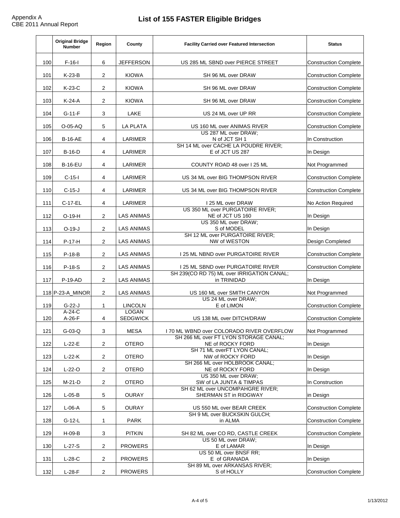|     | <b>Original Bridge</b><br><b>Number</b> | <b>Region</b>   | <b>County</b>                   | <b>Facility Carried over Featured Intersection</b>                               | <b>Status</b>                |
|-----|-----------------------------------------|-----------------|---------------------------------|----------------------------------------------------------------------------------|------------------------------|
| 100 | $F-16-I$                                | 6               | <b>JEFFERSON</b>                | US 285 ML SBND over PIERCE STREET                                                | <b>Construction Complete</b> |
| 101 | $K-23-B$                                | 2               | <b>KIOWA</b>                    | <b>SH 96 ML over DRAW</b>                                                        | <b>Construction Complete</b> |
| 102 | $K-23-C$                                | $\overline{2}$  | <b>KIOWA</b>                    | SH 96 ML over DRAW                                                               | <b>Construction Complete</b> |
| 103 | $K-24-A$                                | 2               | <b>KIOWA</b>                    | SH 96 ML over DRAW                                                               | <b>Construction Complete</b> |
| 104 | $G-11-F$                                | 3               | <b>LAKE</b>                     | US 24 ML over UP RR                                                              | <b>Construction Complete</b> |
| 105 | $O-05-AQ$                               | 5               | <b>LA PLATA</b>                 | US 160 ML over ANIMAS RIVER<br>US 287 ML over DRAW;                              | <b>Construction Complete</b> |
| 106 | <b>B-16-AE</b>                          | 4               | <b>LARIMER</b>                  | N of JCT SH 1                                                                    | In Construction              |
| 107 | $B-16-D$                                | 4               | <b>LARIMER</b>                  | SH 14 ML over CACHE LA POUDRE RIVER;<br>E of JCT US 287                          | In Design                    |
| 108 | <b>B-16-EU</b>                          | $\overline{4}$  | <b>LARIMER</b>                  | <b>COUNTY ROAD 48 over I 25 ML</b>                                               | Not Programmed               |
| 109 | $C-15-I$                                | 4               | <b>LARIMER</b>                  | US 34 ML over BIG THOMPSON RIVER                                                 | <b>Construction Complete</b> |
| 110 | $C-15-J$                                | $\overline{4}$  | <b>LARIMER</b>                  | US 34 ML over BIG THOMPSON RIVER                                                 | <b>Construction Complete</b> |
| 111 | <b>C-17-EL</b>                          | 4               | <b>LARIMER</b>                  | 125 ML over DRAW                                                                 | No Action Required           |
| 112 | $O-19-H$                                | $\overline{2}$  | <b>LAS ANIMAS</b>               | US 350 ML over PURGATOIRE RIVER;<br>NE of JCT US 160<br>US 350 ML over DRAW;     | In Design                    |
| 113 | $O-19-J$                                | $\overline{2}$  | <b>LAS ANIMAS</b>               | S of MODEL<br>SH 12 ML over PURGATOIRE RIVER;                                    | In Design                    |
| 114 | $P-17-H$                                | 2               | <b>LAS ANIMAS</b>               | NW of WESTON                                                                     | <b>Design Completed</b>      |
| 115 | $P-18-B$                                | 2               | <b>LAS ANIMAS</b>               | I 25 ML NBND over PURGATOIRE RIVER                                               | <b>Construction Complete</b> |
| 116 | $P-18-S$                                | 2               | <b>LAS ANIMAS</b>               | I 25 ML SBND over PURGATOIRE RIVER<br>SH 239(CO RD 75) ML over IRRIGATION CANAL; | <b>Construction Complete</b> |
| 117 | $P-19-AD$                               | 2               | <b>LAS ANIMAS</b>               | in TRINIDAD                                                                      | In Design                    |
|     | 118 P-23-A MINOR                        | $\overline{2}$  | <b>LAS ANIMAS</b>               | US 160 ML over SMITH CANYON                                                      | Not Programmed               |
| 119 | $G-22-J$                                | 1               | <b>LINCOLN</b>                  | US 24 ML over DRAW;<br>E of LIMON                                                | <b>Construction Complete</b> |
| 120 | $A-24-C$<br>$A-26-F$                    | $\overline{4}$  | <b>LOGAN</b><br><b>SEDGWICK</b> | US 138 ML over DITCH/DRAW                                                        | <b>Construction Complete</b> |
| 121 | $G-03-Q$                                | 3               | <b>MESA</b>                     | 70 ML WBND over COLORADO RIVER OVERFLOW                                          | Not Programmed               |
| 122 | $L-22-E$                                | $\overline{2}$  | <b>OTERO</b>                    | SH 266 ML over FT LYON STORAGE CANAL;<br>NE of ROCKY FORD                        | In Design                    |
| 123 | $L-22-K$                                | $\overline{2}$  | <b>OTERO</b>                    | <b>SH 71 ML overFT LYON CANAL:</b><br>NW of ROCKY FORD                           | In Design                    |
| 124 | $L-22-0$                                | $\overline{2}$  | <b>OTERO</b>                    | SH 266 ML over HOLBROOK CANAL;<br>NE of ROCKY FORD                               | In Design                    |
| 125 | $M-21-D$                                | 2 <sup>1</sup>  | <b>OTERO</b>                    | US 350 ML over DRAW;<br>SW of LA JUNTA & TIMPAS                                  | In Construction              |
| 126 | $L-05-B$                                | $5\overline{)}$ | <b>OURAY</b>                    | SH 62 ML over UNCOMPAHGRE RIVER;<br><b>SHERMAN ST in RIDGWAY</b>                 | in Design                    |
| 127 | $L-06-A$                                | 5               | <b>OURAY</b>                    | US 550 ML over BEAR CREEK<br>SH 9 ML over BUCKSKIN GULCH;                        | <b>Construction Complete</b> |
| 128 | $G-12-L$                                |                 | <b>PARK</b>                     | in ALMA                                                                          | <b>Construction Complete</b> |
| 129 | $H-09-B$                                | 3 <sup>1</sup>  | <b>PITKIN</b>                   | SH 82 ML over CO RD, CASTLE CREEK                                                | <b>Construction Complete</b> |
| 130 | $L-27-S$                                | $\overline{2}$  | <b>PROWERS</b>                  | US 50 ML over DRAW;<br>E of LAMAR<br>US 50 ML over BNSF RR;                      | In Design                    |
| 131 | $L-28-C$                                | $\overline{2}$  | <b>PROWERS</b>                  | E of GRANADA                                                                     | In Design                    |
| 132 | $L-28-F$                                | 2               | <b>PROWERS</b>                  | SH 89 ML over ARKANSAS RIVER;<br>S of HOLLY                                      | <b>Construction Complete</b> |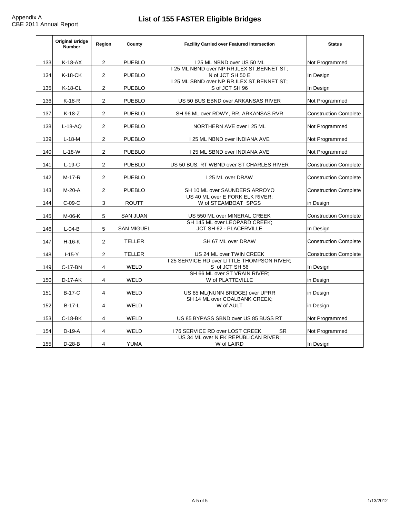|     | <b>Original Bridge</b><br><b>Number</b> | <b>Region</b>  | <b>County</b>     | <b>Facility Carried over Featured Intersection</b>                                                               | <b>Status</b>                |
|-----|-----------------------------------------|----------------|-------------------|------------------------------------------------------------------------------------------------------------------|------------------------------|
| 133 | $K-18-AX$                               | $\overline{2}$ | <b>PUEBLO</b>     | I 25 ML NBND over US 50 ML                                                                                       | Not Programmed               |
| 134 | K-18-CK                                 | $\overline{2}$ | <b>PUEBLO</b>     | I 25 ML NBND over NP RR, ILEX ST, BENNET ST;<br>N of JCT SH 50 E<br>I 25 ML SBND over NP RR, ILEX ST, BENNET ST; | In Design                    |
| 135 | <b>K-18-CL</b>                          | $\overline{2}$ | <b>PUEBLO</b>     | S of JCT SH 96                                                                                                   | In Design                    |
| 136 | $K-18-R$                                | $\overline{2}$ | <b>PUEBLO</b>     | US 50 BUS EBND over ARKANSAS RIVER                                                                               | Not Programmed               |
| 137 | $K-18-Z$                                | $\overline{2}$ | <b>PUEBLO</b>     | SH 96 ML over RDWY, RR, ARKANSAS RVR                                                                             | <b>Construction Complete</b> |
| 138 | $L-18-AQ$                               | 2              | <b>PUEBLO</b>     | NORTHERN AVE over I 25 ML                                                                                        | Not Programmed               |
| 139 | $L-18-M$                                | $\overline{2}$ | <b>PUEBLO</b>     | I 25 ML NBND over INDIANA AVE                                                                                    | Not Programmed               |
| 140 | $L-18-W$                                | $\overline{2}$ | <b>PUEBLO</b>     | <b>125 ML SBND over INDIANA AVE</b>                                                                              | Not Programmed               |
| 141 | $L-19-C$                                | $\overline{2}$ | <b>PUEBLO</b>     | US 50 BUS. RT WBND over ST CHARLES RIVER                                                                         | <b>Construction Complete</b> |
| 142 | $M-17-R$                                | $\overline{2}$ | <b>PUEBLO</b>     | 25 ML over DRAW                                                                                                  | <b>Construction Complete</b> |
| 143 | $M-20-A$                                | $\overline{2}$ | <b>PUEBLO</b>     | SH 10 ML over SAUNDERS ARROYO                                                                                    | <b>Construction Complete</b> |
| 144 | $C-09-C$                                | 3              | <b>ROUTT</b>      | US 40 ML over E FORK ELK RIVER;<br>W of STEAMBOAT SPGS                                                           | in Design                    |
| 145 | $M-06-K$                                | 5              | <b>SAN JUAN</b>   | US 550 ML over MINERAL CREEK                                                                                     | <b>Construction Complete</b> |
| 146 | $L-04-B$                                | 5              | <b>SAN MIGUEL</b> | SH 145 ML over LEOPARD CREEK;<br>JCT SH 62 - PLACERVILLE                                                         | In Design                    |
| 147 | $H-16-K$                                | $\overline{2}$ | <b>TELLER</b>     | SH 67 ML over DRAW                                                                                               | <b>Construction Complete</b> |
| 148 | $I-15-Y$                                | 2              | <b>TELLER</b>     | US 24 ML over TWIN CREEK                                                                                         | <b>Construction Complete</b> |
| 149 | C-17-BN                                 | $\overline{4}$ | <b>WELD</b>       | 125 SERVICE RD over LITTLE THOMPSON RIVER;<br>S of JCT SH 56                                                     | In Design                    |
| 150 | $D-17-AK$                               | 4              | <b>WELD</b>       | SH 66 ML over ST VRAIN RIVER;<br>W of PLATTEVILLE                                                                | in Design                    |
| 151 | <b>B-17-C</b>                           | 4              | <b>WELD</b>       | US 85 ML(NUNN BRIDGE) over UPRR                                                                                  | in Design                    |
| 152 | <b>B-17-L</b>                           | 4              | <b>WELD</b>       | SH 14 ML over COALBANK CREEK;<br>W of AULT<br>in Design                                                          |                              |
| 153 | $C-18-BK$                               | 4              | <b>WELD</b>       | US 85 BYPASS SBND over US 85 BUSS RT                                                                             | Not Programmed               |
| 154 | $D-19-A$                                | 4              | WELD              | 76 SERVICE RD over LOST CREEK<br><b>SR</b>                                                                       | Not Programmed               |
| 155 | $D-28-B$                                | 4              | <b>YUMA</b>       | US 34 ML over N FK REPUBLICAN RIVER;<br>W of LAIRD                                                               | In Design                    |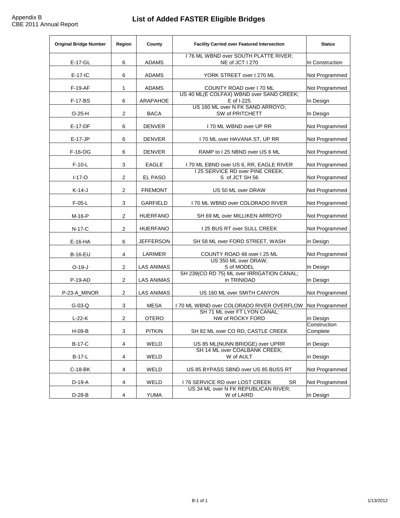# **List of Added FASTER Eligible Bridges**

| <b>Original Bridge Number</b><br><b>Region</b> |                | <b>County</b>     | <b>Facility Carried over Featured Intersection</b>                          | <b>Status</b>            |
|------------------------------------------------|----------------|-------------------|-----------------------------------------------------------------------------|--------------------------|
| $E-17-GL$                                      | 6              | <b>ADAMS</b>      | I 76 ML WBND over SOUTH PLATTE RIVER;<br>NE of JCT I 270                    | In Construction          |
| $E-17-IC$                                      | 6              | <b>ADAMS</b>      | YORK STREET over I 270 ML                                                   | Not Programmed           |
| $F-19-AF$                                      | 1              | <b>ADAMS</b>      | <b>COUNTY ROAD over I 70 ML</b><br>US 40 ML(E COLFAX) WBND over SAND CREEK; | Not Programmed           |
| <b>F-17-BS</b>                                 | 6              | <b>ARAPAHOE</b>   | E of I-225                                                                  | In Design                |
| $O-25-H$                                       | 2              | <b>BACA</b>       | US 160 ML over N FK SAND ARROYO;<br><b>SW of PRITCHETT</b>                  | In Design                |
| $E-17-DF$                                      | 6              | <b>DENVER</b>     | I 70 ML WBND over UP RR                                                     | Not Programmed           |
| $E-17-JP$                                      | 6              | <b>DENVER</b>     | I 70 ML over HAVANA ST, UP RR                                               | Not Programmed           |
| F-16-OG                                        | 6              | <b>DENVER</b>     | RAMP to I 25 NBND over US 6 ML                                              | Not Programmed           |
| $F-10-L$                                       | 3              | <b>EAGLE</b>      | 170 ML EBND over US 6, RR, EAGLE RIVER<br>125 SERVICE RD over PINE CREEK;   | Not Programmed           |
| $I-17-O$                                       | 2              | <b>EL PASO</b>    | S of JCT SH 56                                                              | Not Programmed           |
| $K-14-J$                                       | $\overline{2}$ | <b>FREMONT</b>    | US 50 ML over DRAW                                                          | Not Programmed           |
| $F-05-L$                                       | $\mathbf{3}$   | <b>GARFIELD</b>   | 170 ML WBND over COLORADO RIVER                                             | Not Programmed           |
| $M-16-P$                                       | 2              | <b>HUERFANO</b>   | SH 69 ML over MILLIKEN ARROYO                                               | Not Programmed           |
| $N-17-C$                                       | 2              | <b>HUERFANO</b>   | 125 BUS RT over SULL CREEK                                                  | Not Programmed           |
| $E-16-HA$                                      | 6              | <b>JEFFERSON</b>  | SH 58 ML over FORD STREET, WASH                                             | in Design                |
| <b>B-16-EU</b>                                 | 4              | <b>LARIMER</b>    | COUNTY ROAD 48 over 125 ML<br>US 350 ML over DRAW;                          | Not Programmed           |
| $O-19-J$                                       | 2              | <b>LAS ANIMAS</b> | S of MODEL                                                                  | In Design                |
| $P-19-AD$                                      | 2              | <b>LAS ANIMAS</b> | SH 239(CO RD 75) ML over IRRIGATION CANAL;<br>in TRINIDAD                   | In Design                |
| P-23-A_MINOR                                   | 2              | <b>LAS ANIMAS</b> | US 160 ML over SMITH CANYON                                                 | Not Programmed           |
| $G-03-Q$                                       | 3              | <b>MESA</b>       | 170 ML WBND over COLORADO RIVER OVERFLOW                                    | <b>Not Programmed</b>    |
| $L-22-K$                                       | 2              | <b>OTERO</b>      | SH 71 ML over FT LYON CANAL;<br>NW of ROCKY FORD                            | In Design                |
| $H-09-B$                                       | 3              | <b>PITKIN</b>     | SH 82 ML over CO RD, CASTLE CREEK                                           | Construction<br>Complete |
| <b>B-17-C</b>                                  | 4              | WELD              | US 85 ML(NUNN BRIDGE) over UPRR                                             | in Design                |
| $B-17-L$                                       | $\overline{4}$ | <b>WELD</b>       | SH 14 ML over COALBANK CREEK;<br>W of AULT                                  | in Design                |
| $C-18-BK$                                      | 4              | WELD              | US 85 BYPASS SBND over US 85 BUSS RT                                        | Not Programmed           |
| $D-19-A$                                       | 4              | <b>WELD</b>       | <b>SR</b><br>I 76 SERVICE RD over LOST CREEK                                | Not Programmed           |
| $D-28-B$                                       | 4              | <b>YUMA</b>       | US 34 ML over N FK REPUBLICAN RIVER;<br>W of LAIRD                          | In Design                |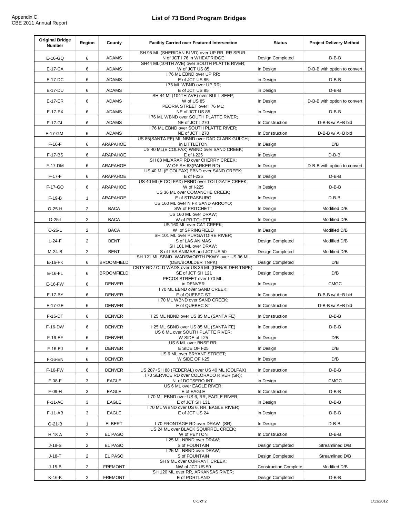| <b>Original Bridge</b><br><b>Number</b> | <b>Region</b><br><b>County</b> |                   | <b>Facility Carried over Featured Intersection</b>                               | <b>Status</b>                | <b>Project Delivery Method</b> |
|-----------------------------------------|--------------------------------|-------------------|----------------------------------------------------------------------------------|------------------------------|--------------------------------|
| $E-16-GQ$                               | 6                              | <b>ADAMS</b>      | SH 95 ML (SHERIDAN BLVD) over UP RR, RR SPUR;<br>N of JCT I 76 in WHEATRIDGE     | <b>Design Completed</b>      | $D-B-B$                        |
| <b>E-17-CA</b>                          | 6                              | <b>ADAMS</b>      | SH44 ML(104TH AVE) over SOUTH PLATTE RIVER;<br>W of JCT US 85                    | In Design                    | D-B-B with option to convert   |
| E-17-DC                                 | 6                              | <b>ADAMS</b>      | 176 ML EBND over UP RR;<br>E of JCT US 85                                        | in Design                    | $D-B-B$                        |
| E-17-DU                                 | 6                              | <b>ADAMS</b>      | 176 ML WBND over UP RR;<br>E of JCT US 85                                        | in Design                    | $D-B-B$                        |
| $E-17-ER$                               | 6                              | <b>ADAMS</b>      | SH 44 ML(104TH AVE) over BULL SEEP;<br>W of US 85<br>PEORIA STREET over I 76 ML; | In Design                    | D-B-B with option to convert   |
| $E-17-EX$                               | $6\overline{6}$                | <b>ADAMS</b>      | NE of JCT US 85                                                                  | in Design                    | $D-B-B$                        |
| $E-17-GL$                               | 6                              | <b>ADAMS</b>      | I 76 ML WBND over SOUTH PLATTE RIVER;<br>NE of JCT I 270                         | In Construction              | $D-B-B$ w/ $A+B$ bid           |
| E-17-GM                                 | $6\overline{6}$                | <b>ADAMS</b>      | I 76 ML EBND over SOUTH PLATTE RIVER;<br>NE of JCT I 270                         | In Construction              | $D-B-B$ w/ $A+B$ bid           |
| $F-16-F$                                | 6                              | <b>ARAPAHOE</b>   | US 85(SANTA FE) ML NBND over DAD CLARK GULCH;<br>in LITTLETON                    | In Design                    | D/B                            |
| <b>F-17-BS</b>                          | $6\overline{6}$                | <b>ARAPAHOE</b>   | US 40 ML(E COLFAX) WBND over SAND CREEK;<br>E of I-225                           | In Design                    | $D-B-B$                        |
| <b>F-17-DM</b>                          | 6                              | <b>ARAPAHOE</b>   | SH 88 ML/ARAP RD over CHERRY CREEK;<br>W OF SH 83(PARKER RD)                     | In Design                    | D-B-B with option to convert   |
| $F-17-F$                                | $6\overline{6}$                | <b>ARAPAHOE</b>   | US 40 ML(E COLFAX) EBND over SAND CREEK;<br>E of I-225                           | In Design                    | $D-B-B$                        |
|                                         |                                |                   | US 40 ML(E COLFAX) EBND over TOLLGATE CREEK;                                     |                              |                                |
| F-17-GO                                 | 6                              | <b>ARAPAHOE</b>   | W of I-225<br>US 36 ML over COMANCHE CREEK;                                      | in Design                    | $D-B-B$                        |
| $F-19-B$                                |                                | <b>ARAPAHOE</b>   | E of STRASBURG<br>US 160 ML over N FK SAND ARROYO;                               | In Design                    | $D-B-B$                        |
| $O-25-H$                                | $\overline{2}$                 | <b>BACA</b>       | <b>SW of PRITCHETT</b>                                                           | In Design                    | Modified D/B                   |
| $O-25-I$                                | $\overline{2}$                 | <b>BACA</b>       | US 160 ML over DRAW;<br>W of PRITCHETT<br>US 160 ML over CAT CREEK;              | In Design                    | Modified D/B                   |
| $O-26-L$                                | 2                              | <b>BACA</b>       | W of SPRINGFIELD                                                                 | In Design                    | Modified D/B                   |
| $L-24-F$                                | $\overline{2}$                 | <b>BENT</b>       | SH 101 ML over PURGATOIRE RIVER;<br>S of LAS ANIMAS<br>SH 101 ML over DRAW;      | <b>Design Completed</b>      | Modified D/B                   |
| $M-24-B$                                | $\overline{2}$                 | <b>BENT</b>       | S of LAS ANIMAS and JCT US 50                                                    | <b>Design Completed</b>      | Modified D/B                   |
| $E-16-FK$                               | 6                              | <b>BROOMFIELD</b> | SH 121 ML SBND- WADSWORTH PKWY over US 36 ML<br>(DEN/BOULDER TNPK)               | <b>Design Completed</b>      | D/B                            |
| $E-16-FL$                               | 6                              | <b>BROOMFIELD</b> | CNTY RD / OLD WADS over US 36 ML (DEN/BLDER TNPK);<br>SE of JCT SH 121           | <b>Design Completed</b>      | D/B                            |
| $E-16-FW$                               | 6                              | <b>DENVER</b>     | PECOS STREET over 170 ML;<br>in DENVER                                           | ∣In Design                   | <b>CMGC</b>                    |
| E-17-BY                                 | 6                              | <b>DENVER</b>     | 170 ML EBND over SAND CREEK;<br>E of QUEBEC ST                                   | In Construction              | $D-B-B$ w/ $A+B$ bid           |
| E-17-GE                                 | 6                              | <b>DENVER</b>     | 170 ML WBND over SAND CREEK;<br>E of QUEBEC ST                                   | In Construction              | D-B-B w/ A+B bid               |
| <b>F-16-DT</b>                          | $6\overline{6}$                | <b>DENVER</b>     | 125 ML NBND over US 85 ML (SANTA FE)                                             | In Construction              | $D-B-B$                        |
| <b>F-16-DW</b>                          | 6                              | <b>DENVER</b>     | 125 ML SBND over US 85 ML (SANTA FE)                                             | In Construction              | $D-B-B$                        |
| $F-16-EF$                               | $6\overline{6}$                | <b>DENVER</b>     | US 6 ML over SOUTH PLATTE RIVER:<br>W SIDE of I-25                               | In Design                    | D/B                            |
| $F-16-EJ$                               | 6                              | <b>DENVER</b>     | US 6 ML over BNSF RR;<br>E SIDE OF I-25                                          | In Design                    | D/B                            |
| <b>F-16-EN</b>                          | $6\overline{6}$                | <b>DENVER</b>     | US 6 ML over BRYANT STREET;<br>W SIDE OF I-25                                    | In Design                    | D/B                            |
| <b>F-16-FW</b>                          | 6                              | <b>DENVER</b>     | US 287+SH 88 (FEDERAL) over US 40 ML (COLFAX)                                    | In Construction              | $D-B-B$                        |
| $F-08-F$                                | $\mathbf{3}$                   | <b>EAGLE</b>      | I 70 SERVICE RD over COLORADO RIVER (SR);<br>N. of DOTSERO INT.                  | in Design                    | <b>CMGC</b>                    |
| $F-09-H$                                | 3                              | <b>EAGLE</b>      | US 6 ML over EAGLE RIVER;<br>E of EAGLE                                          | In Construction              | $D-B-B$                        |
|                                         |                                |                   | 170 ML EBND over US 6, RR, EAGLE RIVER;                                          |                              |                                |
| $F-11-AC$                               | 3                              | <b>EAGLE</b>      | E of JCT SH 131<br>170 ML WBND over US 6, RR, EAGLE RIVER;                       | in Design                    | $D-B-B$                        |
| $F-11-AB$                               | $\mathbf{3}$                   | <b>EAGLE</b>      | E of JCT US 24                                                                   | in Design                    | $D-B-B$                        |
| $G-21-B$                                |                                | <b>ELBERT</b>     | 170 FRONTAGE RD over DRAW (SR)<br>US 24 ML over BLACK SQUIRREL CREEK;            | In Design                    | $D-B-B$                        |
| H-18-A                                  | $\overline{2}$                 | <b>EL PASO</b>    | W of PEYTON<br>25 ML NBND over DRAW;                                             | In Construction              | $D-B-B$                        |
| $J-18-S$                                | $\overline{2}$                 | <b>EL PASO</b>    | S of FOUNTAIN                                                                    | <b>Design Completed</b>      | Streamlined D/B                |
| $J-18-T$                                | $\overline{2}$                 | <b>EL PASO</b>    | I 25 ML NBND over DRAW;<br>S of FOUNTAIN<br><b>SH 9 ML over CURRANT CREEK:</b>   | <b>Design Completed</b>      | Streamlined D/B                |
| $J-15-B$                                | $\overline{2}$                 | <b>FREMONT</b>    | NW of JCT US 50                                                                  | <b>Construction Complete</b> | Modified D/B                   |
| K-16-K                                  | $\overline{2}$                 | <b>FREMONT</b>    | SH 120 ML over RR, ARKANSAS RIVER;<br>E of PORTLAND                              | <b>Design Completed</b>      | $D-B-B$                        |